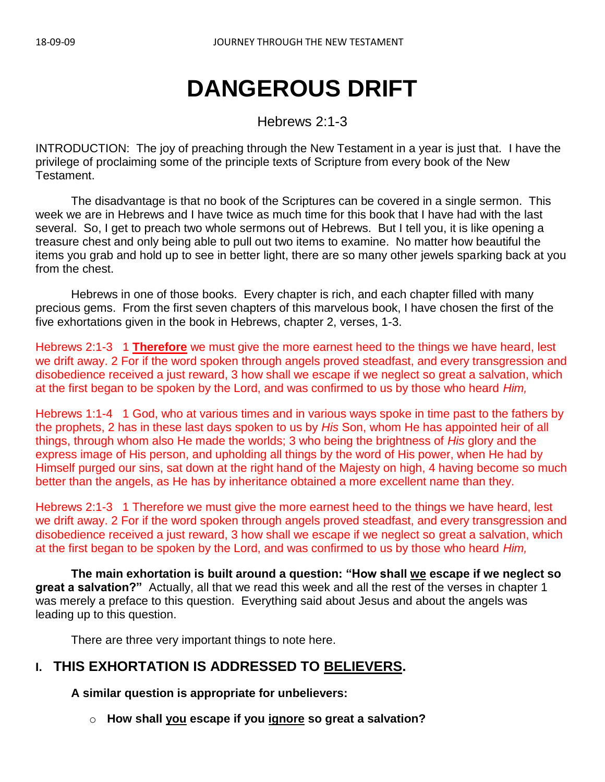# **DANGEROUS DRIFT**

Hebrews 2:1-3

INTRODUCTION:The joy of preaching through the New Testament in a year is just that. I have the privilege of proclaiming some of the principle texts of Scripture from every book of the New Testament.

The disadvantage is that no book of the Scriptures can be covered in a single sermon. This week we are in Hebrews and I have twice as much time for this book that I have had with the last several. So, I get to preach two whole sermons out of Hebrews. But I tell you, it is like opening a treasure chest and only being able to pull out two items to examine. No matter how beautiful the items you grab and hold up to see in better light, there are so many other jewels sparking back at you from the chest.

Hebrews in one of those books. Every chapter is rich, and each chapter filled with many precious gems. From the first seven chapters of this marvelous book, I have chosen the first of the five exhortations given in the book in Hebrews, chapter 2, verses, 1-3.

Hebrews 2:1-3 1 **Therefore** we must give the more earnest heed to the things we have heard, lest we drift away. 2 For if the word spoken through angels proved steadfast, and every transgression and disobedience received a just reward, 3 how shall we escape if we neglect so great a salvation, which at the first began to be spoken by the Lord, and was confirmed to us by those who heard *Him,*

Hebrews 1:1-4 1 God, who at various times and in various ways spoke in time past to the fathers by the prophets, 2 has in these last days spoken to us by *His* Son, whom He has appointed heir of all things, through whom also He made the worlds; 3 who being the brightness of *His* glory and the express image of His person, and upholding all things by the word of His power, when He had by Himself purged our sins, sat down at the right hand of the Majesty on high, 4 having become so much better than the angels, as He has by inheritance obtained a more excellent name than they.

Hebrews 2:1-3 1 Therefore we must give the more earnest heed to the things we have heard, lest we drift away. 2 For if the word spoken through angels proved steadfast, and every transgression and disobedience received a just reward, 3 how shall we escape if we neglect so great a salvation, which at the first began to be spoken by the Lord, and was confirmed to us by those who heard *Him,*

**The main exhortation is built around a question: "How shall we escape if we neglect so great a salvation?"** Actually, all that we read this week and all the rest of the verses in chapter 1 was merely a preface to this question. Everything said about Jesus and about the angels was leading up to this question.

There are three very important things to note here.

## **I. THIS EXHORTATION IS ADDRESSED TO BELIEVERS.**

**A similar question is appropriate for unbelievers:**

o **How shall you escape if you ignore so great a salvation?**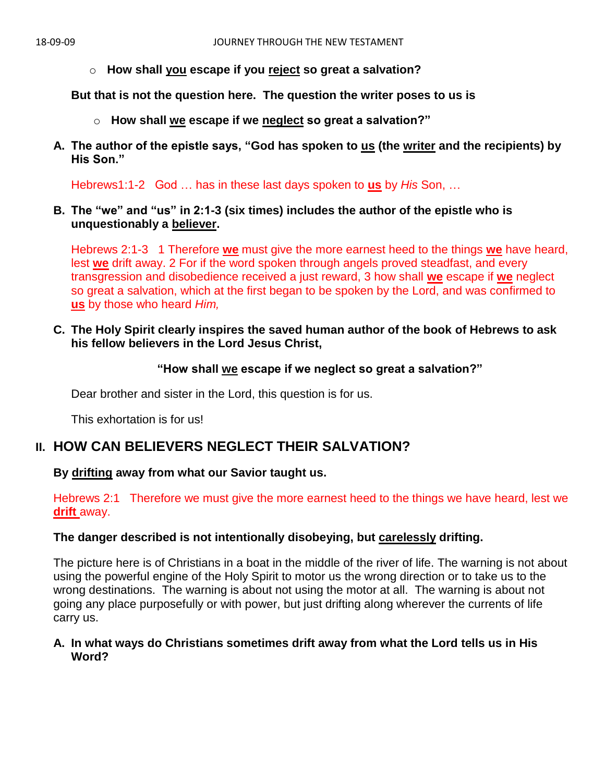o **How shall you escape if you reject so great a salvation?**

**But that is not the question here. The question the writer poses to us is** 

- o **How shall we escape if we neglect so great a salvation?"**
- **A. The author of the epistle says, "God has spoken to us (the writer and the recipients) by His Son."**

Hebrews1:1-2 God … has in these last days spoken to **us** by *His* Son, …

**B. The "we" and "us" in 2:1-3 (six times) includes the author of the epistle who is unquestionably a believer.**

Hebrews 2:1-3 1 Therefore **we** must give the more earnest heed to the things **we** have heard, lest **we** drift away. 2 For if the word spoken through angels proved steadfast, and every transgression and disobedience received a just reward, 3 how shall **we** escape if **we** neglect so great a salvation, which at the first began to be spoken by the Lord, and was confirmed to **us** by those who heard *Him,*

**C. The Holy Spirit clearly inspires the saved human author of the book of Hebrews to ask his fellow believers in the Lord Jesus Christ,**

#### **"How shall we escape if we neglect so great a salvation?"**

Dear brother and sister in the Lord, this question is for us.

This exhortation is for us!

## **II. HOW CAN BELIEVERS NEGLECT THEIR SALVATION?**

#### **By drifting away from what our Savior taught us.**

Hebrews 2:1 Therefore we must give the more earnest heed to the things we have heard, lest we **drift** away.

#### **The danger described is not intentionally disobeying, but carelessly drifting.**

The picture here is of Christians in a boat in the middle of the river of life. The warning is not about using the powerful engine of the Holy Spirit to motor us the wrong direction or to take us to the wrong destinations. The warning is about not using the motor at all. The warning is about not going any place purposefully or with power, but just drifting along wherever the currents of life carry us.

#### **A. In what ways do Christians sometimes drift away from what the Lord tells us in His Word?**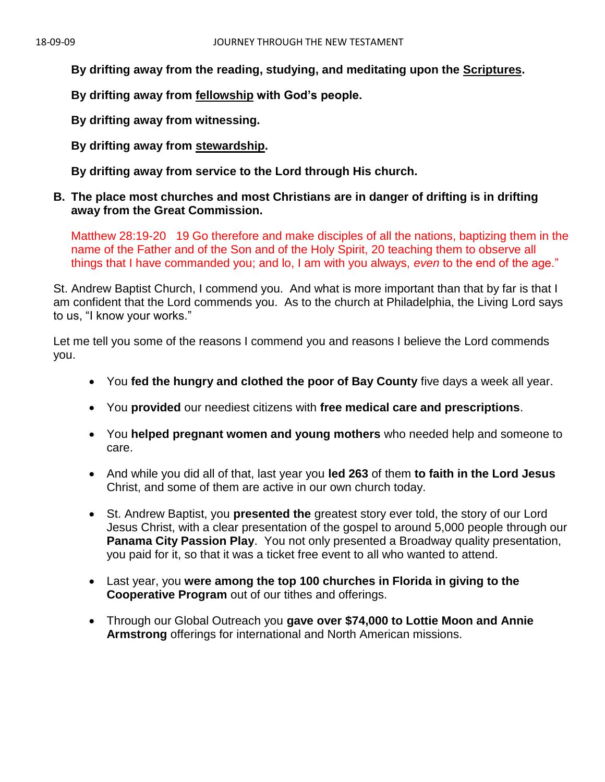**By drifting away from the reading, studying, and meditating upon the Scriptures.** 

**By drifting away from fellowship with God's people.** 

**By drifting away from witnessing.** 

**By drifting away from stewardship.**

**By drifting away from service to the Lord through His church.** 

#### **B. The place most churches and most Christians are in danger of drifting is in drifting away from the Great Commission.**

Matthew 28:19-20 19 Go therefore and make disciples of all the nations, baptizing them in the name of the Father and of the Son and of the Holy Spirit, 20 teaching them to observe all things that I have commanded you; and lo, I am with you always, *even* to the end of the age."

St. Andrew Baptist Church, I commend you. And what is more important than that by far is that I am confident that the Lord commends you. As to the church at Philadelphia, the Living Lord says to us, "I know your works."

Let me tell you some of the reasons I commend you and reasons I believe the Lord commends you.

- You **fed the hungry and clothed the poor of Bay County** five days a week all year.
- You **provided** our neediest citizens with **free medical care and prescriptions**.
- You **helped pregnant women and young mothers** who needed help and someone to care.
- And while you did all of that, last year you **led 263** of them **to faith in the Lord Jesus** Christ, and some of them are active in our own church today.
- St. Andrew Baptist, you **presented the** greatest story ever told, the story of our Lord Jesus Christ, with a clear presentation of the gospel to around 5,000 people through our **Panama City Passion Play**. You not only presented a Broadway quality presentation, you paid for it, so that it was a ticket free event to all who wanted to attend.
- Last year, you **were among the top 100 churches in Florida in giving to the Cooperative Program** out of our tithes and offerings.
- Through our Global Outreach you **gave over \$74,000 to Lottie Moon and Annie Armstrong** offerings for international and North American missions.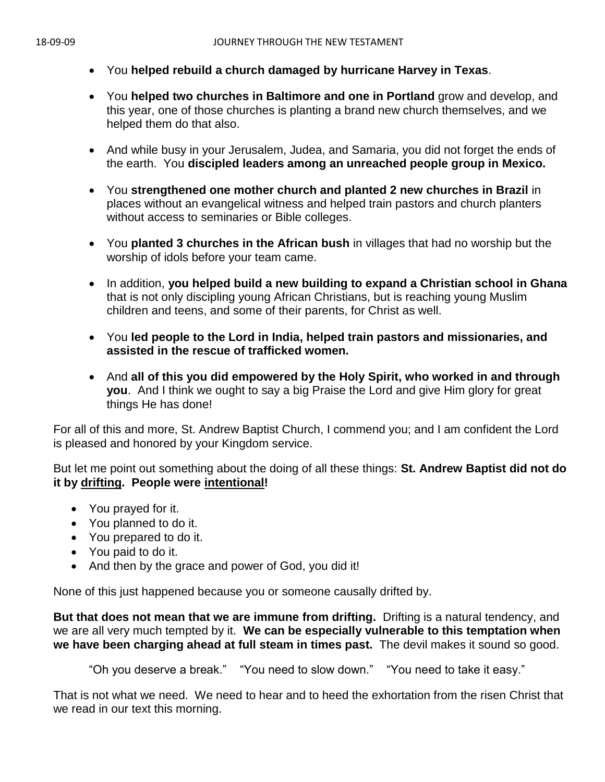- You **helped rebuild a church damaged by hurricane Harvey in Texas**.
- You **helped two churches in Baltimore and one in Portland** grow and develop, and this year, one of those churches is planting a brand new church themselves, and we helped them do that also.
- And while busy in your Jerusalem, Judea, and Samaria, you did not forget the ends of the earth. You **discipled leaders among an unreached people group in Mexico.**
- You **strengthened one mother church and planted 2 new churches in Brazil** in places without an evangelical witness and helped train pastors and church planters without access to seminaries or Bible colleges.
- You **planted 3 churches in the African bush** in villages that had no worship but the worship of idols before your team came.
- In addition, **you helped build a new building to expand a Christian school in Ghana** that is not only discipling young African Christians, but is reaching young Muslim children and teens, and some of their parents, for Christ as well.
- You **led people to the Lord in India, helped train pastors and missionaries, and assisted in the rescue of trafficked women.**
- And **all of this you did empowered by the Holy Spirit, who worked in and through you**. And I think we ought to say a big Praise the Lord and give Him glory for great things He has done!

For all of this and more, St. Andrew Baptist Church, I commend you; and I am confident the Lord is pleased and honored by your Kingdom service.

But let me point out something about the doing of all these things: **St. Andrew Baptist did not do it by drifting. People were intentional!** 

- You prayed for it.
- You planned to do it.
- You prepared to do it.
- You paid to do it.
- And then by the grace and power of God, you did it!

None of this just happened because you or someone causally drifted by.

**But that does not mean that we are immune from drifting.** Drifting is a natural tendency, and we are all very much tempted by it. **We can be especially vulnerable to this temptation when we have been charging ahead at full steam in times past.** The devil makes it sound so good.

"Oh you deserve a break." "You need to slow down." "You need to take it easy."

That is not what we need. We need to hear and to heed the exhortation from the risen Christ that we read in our text this morning.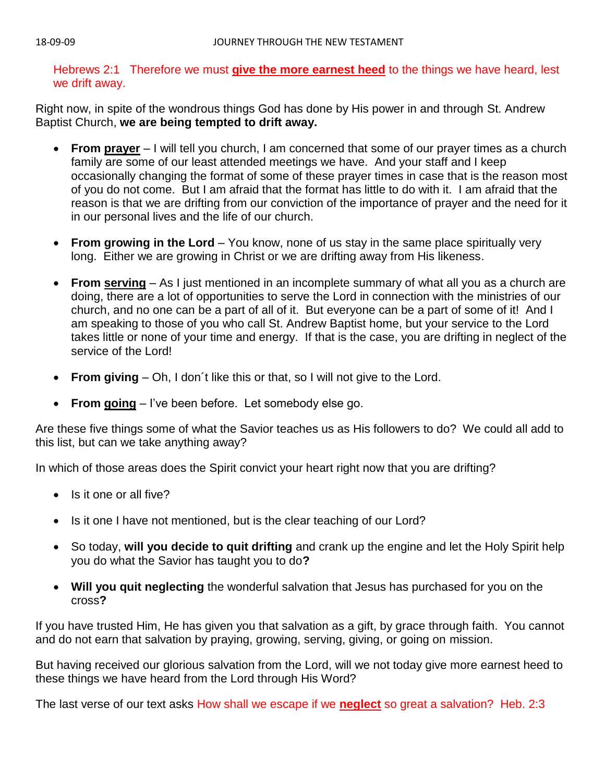Hebrews 2:1 Therefore we must **give the more earnest heed** to the things we have heard, lest we drift away.

Right now, in spite of the wondrous things God has done by His power in and through St. Andrew Baptist Church, **we are being tempted to drift away.**

- **From prayer** I will tell you church, I am concerned that some of our prayer times as a church family are some of our least attended meetings we have. And your staff and I keep occasionally changing the format of some of these prayer times in case that is the reason most of you do not come. But I am afraid that the format has little to do with it. I am afraid that the reason is that we are drifting from our conviction of the importance of prayer and the need for it in our personal lives and the life of our church.
- **From growing in the Lord** You know, none of us stay in the same place spiritually very long. Either we are growing in Christ or we are drifting away from His likeness.
- **From serving** As I just mentioned in an incomplete summary of what all you as a church are doing, there are a lot of opportunities to serve the Lord in connection with the ministries of our church, and no one can be a part of all of it. But everyone can be a part of some of it! And I am speaking to those of you who call St. Andrew Baptist home, but your service to the Lord takes little or none of your time and energy. If that is the case, you are drifting in neglect of the service of the Lord!
- **From giving** Oh, I don´t like this or that, so I will not give to the Lord.
- **From going** I've been before. Let somebody else go.

Are these five things some of what the Savior teaches us as His followers to do? We could all add to this list, but can we take anything away?

In which of those areas does the Spirit convict your heart right now that you are drifting?

- Is it one or all five?
- Is it one I have not mentioned, but is the clear teaching of our Lord?
- So today, **will you decide to quit drifting** and crank up the engine and let the Holy Spirit help you do what the Savior has taught you to do**?**
- **Will you quit neglecting** the wonderful salvation that Jesus has purchased for you on the cross**?**

If you have trusted Him, He has given you that salvation as a gift, by grace through faith. You cannot and do not earn that salvation by praying, growing, serving, giving, or going on mission.

But having received our glorious salvation from the Lord, will we not today give more earnest heed to these things we have heard from the Lord through His Word?

The last verse of our text asks How shall we escape if we **neglect** so great a salvation? Heb. 2:3